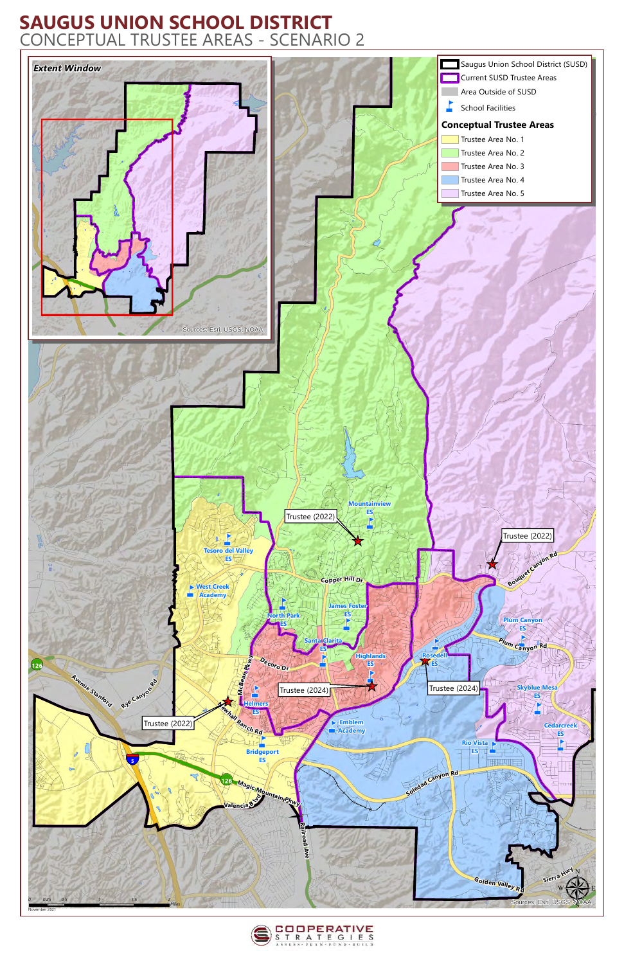## **SAUGUS UNION SCHOOL DISTRICT** CONCEPTUAL TRUSTEE AREAS - SCENARIO 2